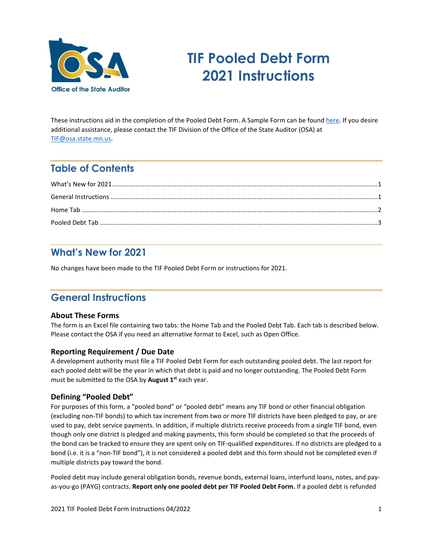

# **TIF Pooled Debt Form 2021 Instructions**

These instructions aid in the completion of the Pooled Debt Form. A [Sample Form](https://www.auditor.state.mn.us/default.aspx?page=tifforms) can be found [here.](https://www.osa.state.mn.us/forms-deadlines/forms/tif-forms/) If you desire additional assistance, please contact the TIF Division of the Office of the State Auditor (OSA) at [TIF@osa.state.mn.us.](mailto:tif@osa.state.mn.us) 

# **Table of Contents**

## <span id="page-0-0"></span>**What's New for 2021**

No changes have been made to the TIF Pooled Debt Form or instructions for 2021.

## <span id="page-0-1"></span>**General Instructions**

#### **About These Forms**

The form is an Excel file containing two tabs: the Home Tab and the Pooled Debt Tab. Each tab is described below. Please contact the OSA if you need an alternative format to Excel, such as Open Office.

#### **Reporting Requirement / Due Date**

A development authority must file a TIF Pooled Debt Form for each outstanding pooled debt. The last report for each pooled debt will be the year in which that debt is paid and no longer outstanding. The Pooled Debt Form must be submitted to the OSA by **August 1st** each year.

#### **Defining "Pooled Debt"**

For purposes of this form, a "pooled bond" or "pooled debt" means any TIF bond or other financial obligation (excluding non-TIF bonds) to which tax increment from two or more TIF districts have been pledged to pay, or are used to pay, debt service payments. In addition, if multiple districts receive proceeds from a single TIF bond, even though only one district is pledged and making payments, this form should be completed so that the proceeds of the bond can be tracked to ensure they are spent only on TIF-qualified expenditures. If no districts are pledged to a bond (i.e. it is a "non-TIF bond"), it is not considered a pooled debt and this form should not be completed even if multiple districts pay toward the bond.

Pooled debt may include general obligation bonds, revenue bonds, external loans, interfund loans, notes, and payas-you-go (PAYG) contracts. **Report only one pooled debt per TIF Pooled Debt Form.** If a pooled debt is refunded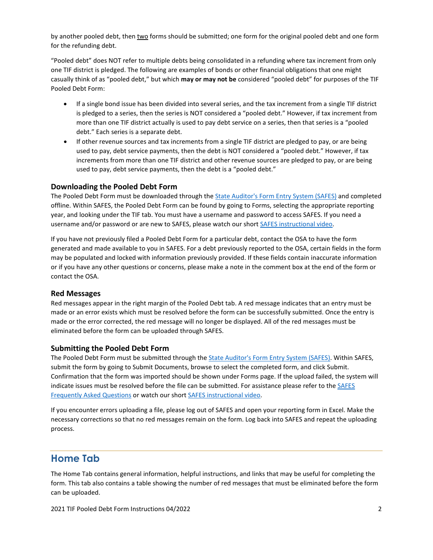by another pooled debt, then two forms should be submitted; one form for the original pooled debt and one form for the refunding debt.

"Pooled debt" does NOT refer to multiple debts being consolidated in a refunding where tax increment from only one TIF district is pledged. The following are examples of bonds or other financial obligations that one might casually think of as "pooled debt," but which **may or may not be** considered "pooled debt" for purposes of the TIF Pooled Debt Form:

- If a single bond issue has been divided into several series, and the tax increment from a single TIF district is pledged to a series, then the series is NOT considered a "pooled debt." However, if tax increment from more than one TIF district actually is used to pay debt service on a series, then that series is a "pooled debt." Each series is a separate debt.
- If other revenue sources and tax increments from a single TIF district are pledged to pay, or are being used to pay, debt service payments, then the debt is NOT considered a "pooled debt." However, if tax increments from more than one TIF district and other revenue sources are pledged to pay, or are being used to pay, debt service payments, then the debt is a "pooled debt."

#### **Downloading the Pooled Debt Form**

The Pooled Debt Form must be downloaded through the State [Auditor's Form Entry System \(SAFES\)](https://safes.osa.state.mn.us/) and completed offline. Within SAFES, the Pooled Debt Form can be found by going to Forms, selecting the appropriate reporting year, and looking under the TIF tab. You must have a username and password to access SAFES. If you need a username and/or password or are new to SAFES, please watch our short [SAFES instructional video.](https://www.osa.state.mn.us/forms-deadlines/submit-forms/safes-training-video/)

If you have not previously filed a Pooled Debt Form for a particular debt, contact the OSA to have the form generated and made available to you in SAFES. For a debt previously reported to the OSA, certain fields in the form may be populated and locked with information previously provided. If these fields contain inaccurate information or if you have any other questions or concerns, please make a note in the comment box at the end of the form or contact the OSA.

#### **Red Messages**

Red messages appear in the right margin of the Pooled Debt tab. A red message indicates that an entry must be made or an error exists which must be resolved before the form can be successfully submitted. Once the entry is made or the error corrected, the red message will no longer be displayed. All of the red messages must be eliminated before the form can be uploaded through SAFES.

#### **Submitting the Pooled Debt Form**

The Pooled Debt Form must be submitted through the [State Auditor's Form Entry System \(SAFES\).](https://safes.osa.state.mn.us/) Within SAFES, submit the form by going to Submit Documents, browse to select the completed form, and click Submit. Confirmation that the form was imported should be shown under Forms page. If the upload failed, the system will indicate issues must be resolved before the file can be submitted. For assistance please refer to th[e SAFES](https://www.osa.state.mn.us/training-guidance/guidance/frequently-asked-questions/?category=safes)  [Frequently Asked Questions](https://www.osa.state.mn.us/training-guidance/guidance/frequently-asked-questions/?category=safes) or watch our short [SAFES instructional video.](https://www.osa.state.mn.us/forms-deadlines/submit-forms/safes-training-video/)

If you encounter errors uploading a file, please log out of SAFES and open your reporting form in Excel. Make the necessary corrections so that no red messages remain on the form. Log back into SAFES and repeat the uploading process.

### <span id="page-1-0"></span>**Home Tab**

The Home Tab contains general information, helpful instructions, and links that may be useful for completing the form. This tab also contains a table showing the number of red messages that must be eliminated before the form can be uploaded.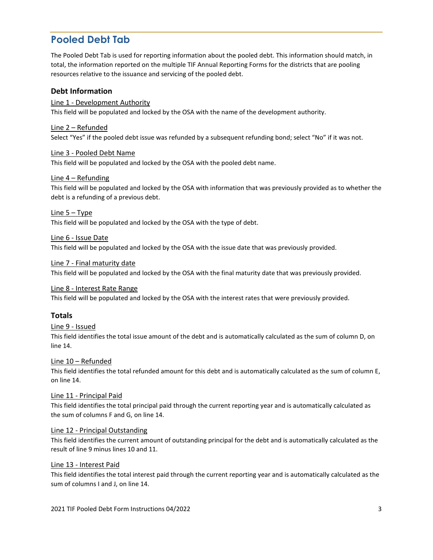### <span id="page-2-0"></span>**Pooled Debt Tab**

The Pooled Debt Tab is used for reporting information about the pooled debt. This information should match, in total, the information reported on the multiple TIF Annual Reporting Forms for the districts that are pooling resources relative to the issuance and servicing of the pooled debt.

#### **Debt Information**

Line 1 - Development Authority This field will be populated and locked by the OSA with the name of the development authority.

Line 2 – Refunded Select "Yes" if the pooled debt issue was refunded by a subsequent refunding bond; select "No" if it was not.

#### Line 3 - Pooled Debt Name

This field will be populated and locked by the OSA with the pooled debt name.

#### Line 4 – Refunding

This field will be populated and locked by the OSA with information that was previously provided as to whether the debt is a refunding of a previous debt.

#### Line 5 – Type

This field will be populated and locked by the OSA with the type of debt.

#### Line 6 - Issue Date

This field will be populated and locked by the OSA with the issue date that was previously provided.

#### Line 7 - Final maturity date

This field will be populated and locked by the OSA with the final maturity date that was previously provided.

#### Line 8 - Interest Rate Range

This field will be populated and locked by the OSA with the interest rates that were previously provided.

#### **Totals**

#### Line 9 - Issued

This field identifies the total issue amount of the debt and is automatically calculated as the sum of column D, on line 14.

#### Line 10 – Refunded

This field identifies the total refunded amount for this debt and is automatically calculated as the sum of column E, on line 14.

#### Line 11 - Principal Paid

This field identifies the total principal paid through the current reporting year and is automatically calculated as the sum of columns F and G, on line 14.

#### Line 12 - Principal Outstanding

This field identifies the current amount of outstanding principal for the debt and is automatically calculated as the result of line 9 minus lines 10 and 11.

#### Line 13 - Interest Paid

This field identifies the total interest paid through the current reporting year and is automatically calculated as the sum of columns I and J, on line 14.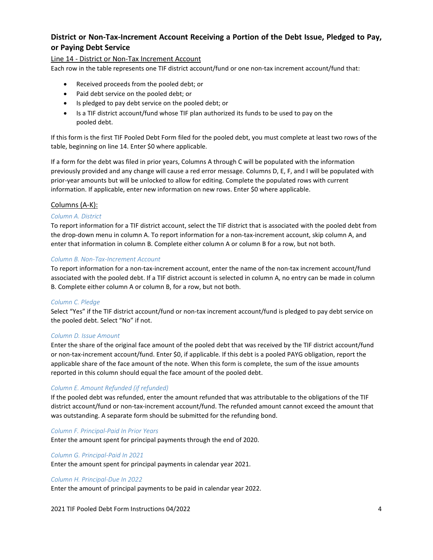### **District or Non-Tax-Increment Account Receiving a Portion of the Debt Issue, Pledged to Pay, or Paying Debt Service**

#### Line 14 - District or Non-Tax Increment Account

Each row in the table represents one TIF district account/fund or one non-tax increment account/fund that:

- Received proceeds from the pooled debt; or
- Paid debt service on the pooled debt; or
- Is pledged to pay debt service on the pooled debt; or
- Is a TIF district account/fund whose TIF plan authorized its funds to be used to pay on the pooled debt.

If this form is the first TIF Pooled Debt Form filed for the pooled debt, you must complete at least two rows of the table, beginning on line 14. Enter \$0 where applicable.

If a form for the debt was filed in prior years, Columns A through C will be populated with the information previously provided and any change will cause a red error message. Columns D, E, F, and I will be populated with prior-year amounts but will be unlocked to allow for editing. Complete the populated rows with current information. If applicable, enter new information on new rows. Enter \$0 where applicable.

#### Columns (A-K):

#### *Column A. District*

To report information for a TIF district account, select the TIF district that is associated with the pooled debt from the drop-down menu in column A. To report information for a non-tax-increment account, skip column A, and enter that information in column B. Complete either column A or column B for a row, but not both.

#### *Column B. Non-Tax-Increment Account*

To report information for a non-tax-increment account, enter the name of the non-tax increment account/fund associated with the pooled debt. If a TIF district account is selected in column A, no entry can be made in column B. Complete either column A or column B, for a row, but not both.

#### *Column C. Pledge*

Select "Yes" if the TIF district account/fund or non-tax increment account/fund is pledged to pay debt service on the pooled debt. Select "No" if not.

#### *Column D. Issue Amount*

Enter the share of the original face amount of the pooled debt that was received by the TIF district account/fund or non-tax-increment account/fund. Enter \$0, if applicable. If this debt is a pooled PAYG obligation, report the applicable share of the face amount of the note. When this form is complete, the sum of the issue amounts reported in this column should equal the face amount of the pooled debt.

#### *Column E. Amount Refunded (if refunded)*

If the pooled debt was refunded, enter the amount refunded that was attributable to the obligations of the TIF district account/fund or non-tax-increment account/fund. The refunded amount cannot exceed the amount that was outstanding. A separate form should be submitted for the refunding bond.

*Column F. Principal-Paid In Prior Years*

Enter the amount spent for principal payments through the end of 2020.

#### *Column G. Principal-Paid In 2021*

Enter the amount spent for principal payments in calendar year 2021.

#### *Column H. Principal-Due In 2022*

Enter the amount of principal payments to be paid in calendar year 2022.

#### 2021 TIF Pooled Debt Form Instructions 04/2022 4